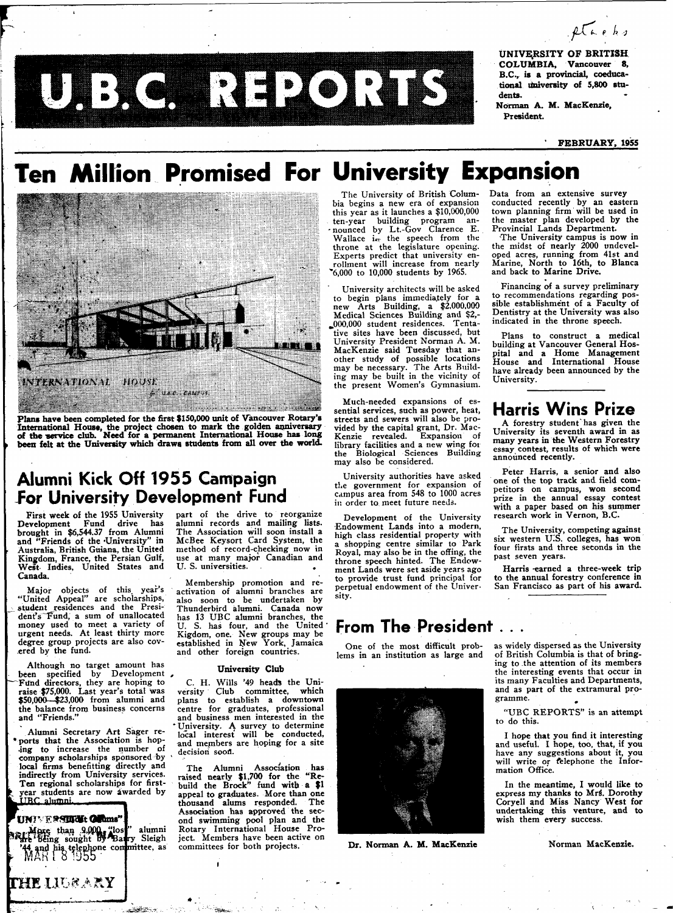$2\sqrt{4}$ ebs

UNIVERSITY OF BRITISH COLUMBIA, Vancouver 8, B.C., is a provincial, coeducational university of 5,800 students.

Norman A. M. MacKenzie, President.

### FEBRUARY, 1955

# Ten Million Promised For University Expansion

TULEX C. REPROTEEN



Plans have been completed for the first \$150,000 unit of Vancouver Rotary's International House, the project chosen to mark the golden anniversary<br>of the service club. Need for a permanent International House has long been felt at the University which draws students from all over the world.

### Alumni Kick Off 1955 Campaign **For University Development Fund**

First week of the 1955 University Development Fund drive has<br>brought in \$6,544.37 from Alumni<br>and "Friends of the University" in Australia, British Guiana, the United<br>Kingdom, France, the Persian Gulf, West Indies, United States and Canada.

Major objects of this year's<br>"United Appeal" are scholarships,<br>student residences and the President's Fund, a sum of unallocated<br>money used to meet a variety of urgent needs. At least thirty more degree group projects are also covered by the fund.

Although no target amount has been specified by Development,<br>Fund directors, they are hoping to raise \$75,000. Last year's total was \$50,000 \$23,000 from alumni and the balance from business concerns<br>and "Friends."

Alumni Secretary Art Sager reports that the Association is hoping to increase the number of company scholarships sponsored by local firms benefitting directly and indirectly from University services. Ten regional scholarships for firstyear students are now awarded by

UNIVERSIDE Offins" More than 9,000 "los" alumni Sleigh 44 and his telephone committee, as

**THE LIGRARY** 

part of the drive to reorganize alumni records and mailing lists. The Association will soon install a<br>McBee Keysort Card System, the method of record-checking now in use at many major Canadian and U. S. universities.

Membership promotion and reactivation of alumni branches are also soon to be undertaken by Thunderbird alumni. Canada now<br>has 13 UBC alumni branches, the<br>U. S. has four, and the United Kigdom, one. New groups may be established in New York, Jamaica and other foreign countries.

### University Club

C. H. Wills '49 heads the University Club committee, which plans to establish a downtown centre for graduates, professional and business men interested in the University. A survey to determine<br>local interest will be conducted, and members are hoping for a site decision soon.

The Alumni Association has<br>raised nearly \$1,700 for the "Re-<br>build the Brock" fund with a \$1 appeal to graduates. More than one thousand alums responded. The Association has approved the second swimming pool plan and the<br>Rotary International House Project. Members have been active on committees for both projects.

The University of British Columbia begins a new era of expansion this year as it launches a \$10,000,000 ten-year building program an-<br>nounced by Lt.-Gov Clarence E.<br>Wallace i<sub>e</sub> the speech from the throne at the legislature opening. Experts predict that university enrollment will increase from nearly<br>"6,000 to 10,000 students by 1965.

University architects will be asked to begin plans immediately for a<br>new Arts Building, a \$2,000,000<br>Medical Sciences Building and \$2,-000,000 student residences. Tentative sites have been discussed, but University President Norman A. M. MacKenzie said Tuesday that an-<br>other study of possible locations may be necessary. The Arts Building may be built in the vicinity of the present Women's Gymnasium.

Much-needed expansions of essential services, such as power, heat, streets and sewers will also be provided by the capital grant, Dr. Mac-<br>Kenzie revealed. Expansion of library facilities and a new wing for Building the Biological Sciences may also be considered.

University authorities have asked the government for expansion of campus area from 548 to 1000 acres in order to meet future needs.

Development of the University Endowment Lands into a modern, high class residential property with a shopping centre similar to Park<br>Royal, may also be in the offing, the throne speech hinted. The Endowment Lands were set aside years ago to provide trust fund principal for perpetual endowment of the Universitv.

### From The President . . .

One of the most difficult problems in an institution as large and



Dr. Norman A. M. MacKenzie

Data from an extensive survev conducted recently by an eastern<br>town planning firm will be used in the master plan developed by the<br>Provincial Lands Department.

The University campus is now in the midst of nearly 2000 undevel-<br>oped acres, running from 41st and<br>Marine, North to 16th, to Blanca and back to Marine Drive.

Financing of a survey preliminary to recommendations regarding possible establishment of a Faculty of Dentistry at the University was also<br>indicated in the throne speech.

Plans to construct a medical building at Vancouver General Hospital and a Home Management -<br>House House and International have already been announced by the University.

### **Harris Wins Prize**

A forestry student has given the University its seventh award in as many years in the Western Forestry<br>essay contest, results of which were announced recently.

Peter Harris, a senior and also one of the top track and field competitors on campus, won second prize in the annual essay contest with a paper based on his summer research work in Vernon, B.C.

The University, competing against<br>six western U.S. colleges, has won four firsts and three seconds in the past seven years.

Harris earned a three-week trip to the annual forestry conference in<br>San Francisco as part of his award.

as widely dispersed as the University of British Columbia is that of bringing to the attention of its members the interesting events that occur in<br>its many Faculties and Departments, and as part of the extramural programme.

"UBC REPORTS" is an attempt to do this.

I hope that you find it interesting<br>and useful. I hope, too, that, if you<br>have any suggestions about it, you will write or relephone the Information Office.

In the meantime, I would like to express my thanks to Mrs. Dorothy<br>Coryell and Miss Nancy West for undertaking this venture, and to wish them every success.

Norman MacKenzie.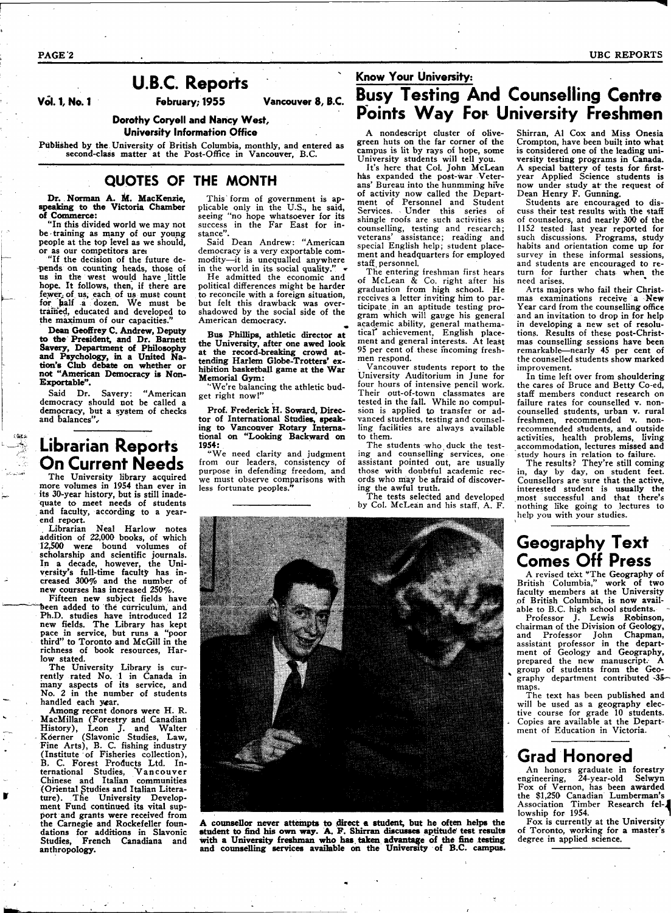**Vol. 1, No. 1 February; 1955 Vancouver 8, B.C.** 

**Dorothy Coryell and Nancy West,** 

**University Information Office** 

Published by **the** University of British Columbia, monthly, and entered as second-class matter at the Post-Office in Vancouver, B.C.

### **QUOTES OF THE MONTH**

**Dr.**. **Norman A. M. MacKenzie, speaking to the Victoria Chamber** 

**of Commerce:**  "In this divided world we may not be training as many of our young people at the top level as we should, or as our competitors ares

"If the decision of the future depends on counting heads, those of us in the west would have .little hope. It follows, then, if there are fewer, of us, each of us must count for half a dozen. We must be trained, educated and developed to the maximum of our capacities.

**Dean Geoffrey C. Andrew, Deputy to the President, and Dr. Barnett Savery, Department of Philosophy and Psychology, in a United Nation's Club debate on whether or not "American Democracy is Non-Exportable".** 

Said Dr. Savery: "American democracy should not be called a democracy, but a system of checks and balances".

### Librarian Reports On Current Needs

The University library acquired more volumes in 1954 than ever in its 30-year history, but is still inadequate to meet needs of students and faculty, according to a yearend report.

. Librarian Neal Harlow notes addition of 22,000 books, of which 12,500 were bound volumes of scholarship and scientific journals. In **a** decade, however, the University's full-time faculty has increased 300% and the number of new courses has increased 250%.

Fifteen new subject fields have been added to the curriculum, and Ph.D. studies have introduced 12 new fields. The Library has kept pace in service, but runs a "poor third" to Toronto and McGill in the richness of book resources, Harlow stated.

The University Library is currently rated No. 1 in Canada in many aspects of its service, and No. 2 in the number of students handled each year.

Among recent donors were H. R. MacMillan (Forestry and Canadian History), Leon J. and Walter Kderner (Slavonic Studies, Law, Fine Arts), B. C. fishing industry (Institute of Fisheries collection), B, C. Forest Products Ltd. International Studies, Vancouver<br>Chinese and Italian communities (Oriental Studies and Italian Literature). The University Development Fund continued its vital support and grants were received from the Carnegie and Rockefeller foundations for additions in Slavonic Studies, French Canadiana and anthropology.

This' form of government is applicable only in the U.S., he said, seeing "no hope whatsoever for its success in the Far East for instance".

Said Dean Andrew: "American democracy is a very exportable commodity—it is unequalled anywhere in the world in its social quality."

He admitted the economic and political differences might be harder to reconcile with a foreign situation, but felt this drawback was overshadowed by the social side of the American democracy.

*m*  **Bus Phillips, athletic director at the University, after one awed look**  at the record-breaking **crowd** attending Harlem **Globe-Trotters'** exhibition basketball game **at the War**  Memorial Gym:

"We're balancing the athletic budget right now!"

Prof. Frederick H. **Soward,** Director of International Studies, **speaking to** Vancouver Rotary International **on** "Looking **Backward on 1954:**  "We need clarity and judgment

from our leaders, consistency of purpose in defending freedom, and we must observe comparisons with less fortunate peoples."

## **Know Your University:**  Busy Testing **And** Counselling **Centre**  Points Way For University Freshmen

A nondescript cluster of olivegreen huts on the far corner of the campus is lit by rays of hope, some University students will tell you.

It's here that Col. John McLean has expanded the post-war Veterans' Bureau into the hunmming hive of activity now called the Department of Personnel and Student Services. Under this series of shingle roofs are such activities as counselling, testing and research; veterans' assistance; reading and special English help; student placement and headquarters for employed staff personnel.

The entering freshman first hears of McLean & Co. right after his graduation from high school. He receives a letter inviting him to participate in an aptitude testing program which will gauge his general academic ability, general mathematical" achievement, English placement and general interests. At least 95 per cent of these incoming freshmen respond.

Vancouver students report to the University Auditorium in June for four hours of intensive pencil work. Their out-of-town classmates are tested in the fall. While no compulsion is applied to transfer or advanced students, testing and counselling facilities are always available to them.

The students who duck the testing and counselling services, one assistant pointed out, are usually those with doubtful academic rec-ords who may be afraid of discovering the awful truth.

The tests selected and developed by Col. McLean and his staff, A. F. Shirran, Al Cox and Miss Onesia Crompton, have been built into what is considered one of the leading university testing programs in Canada. A special battery of tests for firstyear Applied Science students is now under study at' the request of Dean Henry F. Gunning.

Students are encouraged to discuss their test results with the staff of counselors, and nearly 300 of the 1152 tested last year reported for such discussions. Programs, study habits and orientation come up for survey in these informal sessions, and students are encouraged to return for further chats when the need arises.

Arts majors who fail their Christmas examinations receive a New Year card from the counselling office and an invitation to drop in for help in developing a new set of resolutions. Results of these post-Christmas counselling sessions have been remarkable—nearly 45 per cent of the counselled students show marked improvement.

In time left over from shouldering the cares of Bruce and Betty Co-ed, staff members conduct research on failure rates for counselled v. noncounselled students, urban v. rural freshmen, recommended v. nonrecommended students, and outside activities, health problems, living accommodation, lectures missed and study hours in relation to failure.

The results? They're still coming in, day by day, on student feet. Counsellors are sure that the active, interested student is usually the most successful and that there's nothing like going to lectures to help you with your studies.

## Geography Text Comes Off Press

A revised text "The Geography of<br>British Columbia." work of two British Columbia," work of two faculty members at the University of British Columbia, is now available to B.C. high school students. -

Professor J. Lewis Robinson, chairman of the Division of Geology, and Professor John Chapman, assistant professor in the department of Geology and Geography, prepared the new manuscript. A group of students from the Geography department contributed -35 maps.

The text has been published and will be used as a geography elective course for grade 10 students. Copies are available at the Department of Education in Victoria.

## Grad Honored

An honors graduate in forestry engineering, 24-year-old Selwyn Fox of Vernon, has been awarded the \$1,250 Canadian Lumberman's Association Timber Research fel-^ lowship for 1954.

Fox is currently at the University of Toronto, working for a master's degree in applied science.

A counsellor never attempts to direct a student, but he often helps the **student to find his own way. A. F. Shirran discusses aptitude' test results with a University freshman who has. taken advantage of the fine testing and counselling services available on the University of B.C. campus.** 

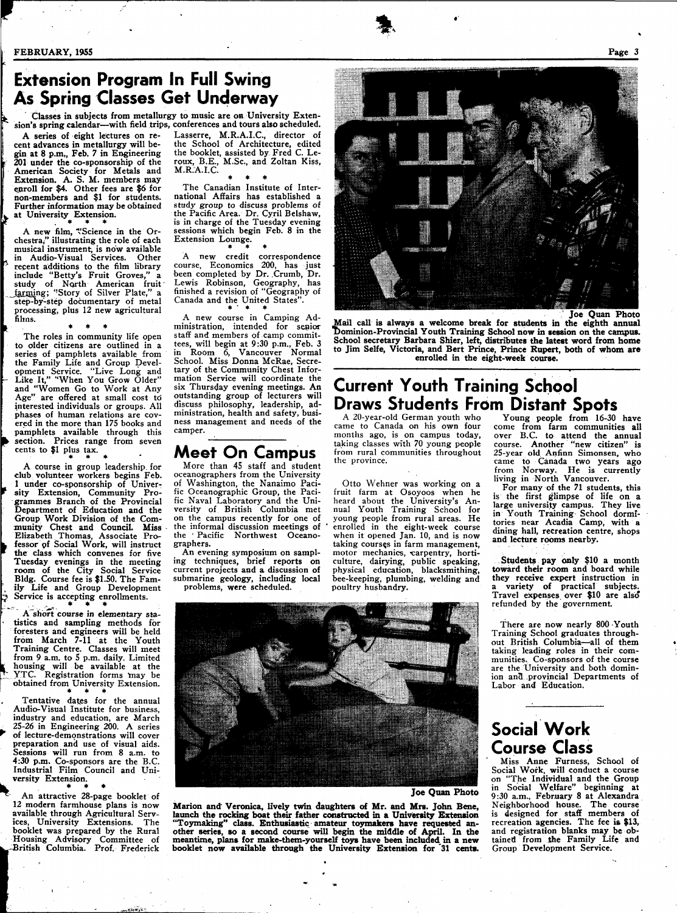*Vt* 

f

c

## **Extension Program In Full Swing As Spring Classes Get Underway**

Classes **in** subjects **from** metallurgy to music **are on** University Extension's spring calendar—with field trips, conferences and tours also scheduled.

A series of eight lectures on recent advances in metallurgy will begin at 8 p.m., Feb. 7 in Engineering 201 **under** the co-sponsorship of the American Society for Metals and Extension. A. S. M. members may enroll for \$4. Other fees are \$6 for non-members and \$1 for students. Further information may be obtained at University Extension.

\* » \* A new film, "Science in the Orchestra," illustrating the role of each musical instrument, is now available<br>in Audio-Visual Services. Other in Audio-Visual Services. recent additions to the film library include "Betty's Fruit Groves," a study of North American fruit<br><u>farmi</u>ng; "Story of Silver Plate," a step-by'-step documentary of metal processing, plus 12 new agricultural films.

 $\mathbf{F} = \begin{bmatrix} \mathbf{F} & \mathbf{F} & \mathbf{F} \end{bmatrix}$ The roles in community life open to older citizens are outlined in a series of pamphlets available from the Family Life and Group Development Service. "Live Long and - Like It," "When You Grow Older" and "Women Go to Work at Any Age" are offered at small cost to interested individuals or groups. All phases of human relations are covered in the more than 175 books and pamphlets available through this section. Prices range from seven section.  $\frac{1}{2}$  plus tax.

\* \* \* A course in group leadership, for club volunteer workers begins Feb. 1 under co-sponsorship of University Extension, Community Programmes Branch of the Provincial Department of Education and the Group Work Division of the Community Chest and Council. Miss Elizabeth Thomas, Associate Pro fessor pf Social Work, will instruct the class which convenes for five Tuesday evenings in the meeting room of the City Social Service Bldg. Course fee is \$1.50. The Family Life and Group Development Service is accepting enrollments.

A short course in elementary sta-A short course in elementary statistics and sampling methods for foresters and engineers will be held<br>from Monah 7.11 of the Newth from March **7-11** at the Youth Training Centre. Classes will meet from 9 a.m. to 5 p.m. daily. Limited housing will be available at the  $\frac{y}{x}$ . Registration forms may be obtained from University Extension.

Tentative dates for the annual Audio-Visual Institute for business, Industry and education are March medicity and education, are march of lecture-demonstrations will cover preparation and use of visual aids. Sessions will run from 8 a.m. to  $4:30$  p.m. Co-sponsors are the B.C. Industrial Film Council and Uni-Industrial Film Council and University Extension.

An attractive 28-page booklet of 12 modern farmhouse plans is now<br>available through Agricultural Servavailable through Agricultural Services, University Extensions. The booklet was prepared by the Rural Housing Advisory Committee of .-British Columbia. Prof. Frederick

 $...$ in  $m_{\mathcal{N}}$ 

Lasserre, M.R.A.I.C., director of the School of Architecture, edited the booklet, assisted by Fred C. Leroux, B.E., M.Sc, and Zoltan Kiss, M.R.A.I.C.

**\* \* \***  The Canadian Institute of International Affairs has established a study group to discuss problems of the Pacific Area. Dr. Cyril Belshaw, is in charge of the Tuesday evening sessions which begin Feb. 8 in the Extension Lounge.

**\* \* \***  A new credit correspondence course, Economics 200, has just been completed by Dr. Crumb, Dr. Lewis Robinson, Geography, has finished a revision of "Geography of Canada and the United States".

A new course in Camping Administration, intended for senior ministration, intended for segion stan and members of camp commit-<br>tegs will begin at  $0.30$  p.m. Eab. 3 tees, will begin at 9:30 p.m., Feb. 3<br>in Room 6 Vancouver Normal in Room 6, Vancouver Normal<br>School Miss Donna McRoe Secre School. Miss Donna McRae, Secretary of the Community Chest Information Service will coordinate the<br>six Thursday evening meetings. An outstanding group of lecturers will discuss philosophy, leadership, addiscuss philosophy, leadership, administration, nearth and safety, business management and needs of the camper.

### **Meet On Campus**

More than 45 staff and student oceanographers from the University of Washington, the Nanaimo Pacific Oceanographic Group, the Pacific Naval Laboratory and the University of British Columbia met on the campus recently for one of the informal discussion meetings of<br>the 'Pacific Northwest Oceanothe ' Pacific Northwest graphers.

An evening symposium on sampling techniques, brief reports on current projects and a discussion of submarine geology, including local

problems, were scheduled.

**Joe Quan Photo** 

**Mail call is always a welcome break for students in the eighth annual Dominion-Provincial Youth Training School now in session on the campus. School secretary Barbara Shier, left, distributes the latest word from home to Jim Selfe, Victoria, and Bert Prince, Prince Rupert, both of whom are enrolled in the eight-week course.** 

## **Current Youth Training School Draws Students From Distant Spots**

A 20-year-old German youth who came to Canada on his own four months ago, is on campus today, taking classes with 70 young people from rural communities throughout the province.

 $\mathcal{F}$ 

Otto Wehner was working on a fruit farm at Osoyoos when he heard about the University's Annual Youth Training School for young people from rural areas. He enrolled in the eight-week course when it opened Jan. 10, and is now taking courses in farm management, motor mechanics, carpentry, horticulture, dairying, public speaking, physical education, blacksmithing, bee-keeping, plumbing, welding and poultry husbandry.

Young people from 16-30 have come from farm communities all over B.C. to attend the annual course. Another "new citizen" is 25-year old Anfinn Simonsen, who came to Canada two years ago from Norway. He is currently living in North Vancouver.

For many of the 71 students, this is the first glimpse of life on **a**  large university campus. They live in Youth Training- School dormitories near Acadia Camp, with a dining hall, recreation centre, shops and lecture rooms nearby.

, **Students pay only** \$10 **a** month **toward their room** and board while they **receive expert** instruction in a variety **of** practical subjects. Travel expenses over \$10 are also refunded by the government.

There are now nearly 800 Youth Training School graduates throughout British Columbia—all of them taking leading roles in their communities. Co-sponsors of the course are the University and both dominion an3 provincial Departments of Labor and Education.

## **Social Work Course Class**

Miss Anne Furness, School of Social Work, will conduct a course on "The Individual and the Group in Social Welfare" beginning at 9:30 a.m., February 8 at Alexandra Neighborhood house. The course is designed for staff members of recreation agencies. The fee **is** \$13, and registration blanks may be obtained from the Family Life and Group Development Service.

**Joe Quan Photo** 

**Marion and Veronica, lively twin daughters of Mr. and Mrs. John Bene, launch the rocking boat their father constructed in a University Extension**  "Toymaking" **class. Enthusiastic amateur toymakers have requested another series, so a second course will begin the middle of April. In the meantime, plans for make-them-yourself toys have been included, in a new booklet now available through the University Extension for '31 cents.**